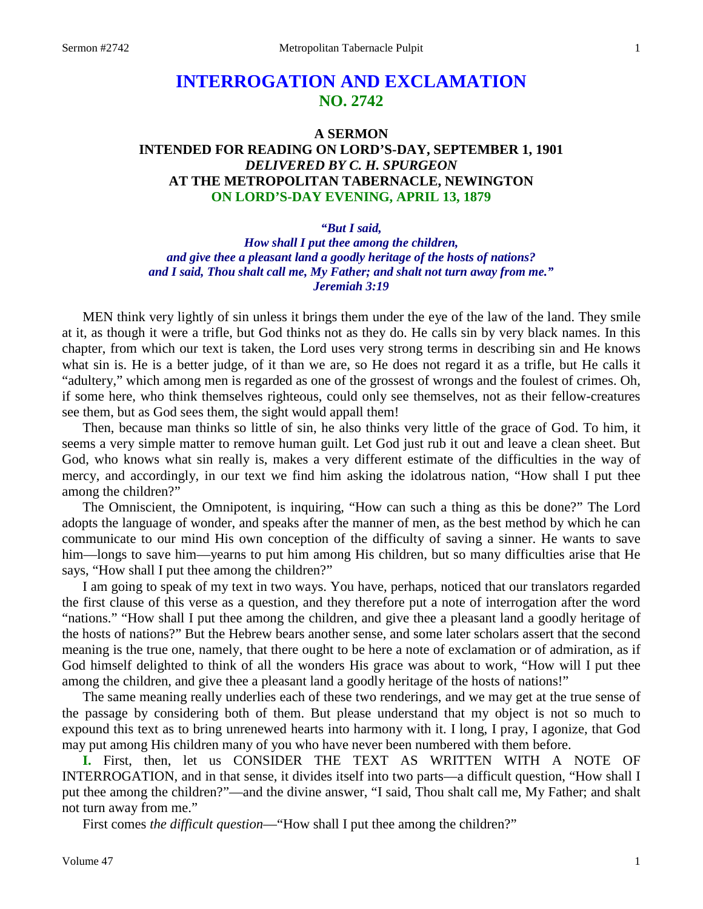# **INTERROGATION AND EXCLAMATION NO. 2742**

## **A SERMON INTENDED FOR READING ON LORD'S-DAY, SEPTEMBER 1, 1901** *DELIVERED BY C. H. SPURGEON* **AT THE METROPOLITAN TABERNACLE, NEWINGTON ON LORD'S-DAY EVENING, APRIL 13, 1879**

*"But I said,* 

*How shall I put thee among the children, and give thee a pleasant land a goodly heritage of the hosts of nations? and I said, Thou shalt call me, My Father; and shalt not turn away from me." Jeremiah 3:19*

MEN think very lightly of sin unless it brings them under the eye of the law of the land. They smile at it, as though it were a trifle, but God thinks not as they do. He calls sin by very black names. In this chapter, from which our text is taken, the Lord uses very strong terms in describing sin and He knows what sin is. He is a better judge, of it than we are, so He does not regard it as a trifle, but He calls it "adultery," which among men is regarded as one of the grossest of wrongs and the foulest of crimes. Oh, if some here, who think themselves righteous, could only see themselves, not as their fellow-creatures see them, but as God sees them, the sight would appall them!

Then, because man thinks so little of sin, he also thinks very little of the grace of God. To him, it seems a very simple matter to remove human guilt. Let God just rub it out and leave a clean sheet. But God, who knows what sin really is, makes a very different estimate of the difficulties in the way of mercy, and accordingly, in our text we find him asking the idolatrous nation, "How shall I put thee among the children?"

The Omniscient, the Omnipotent, is inquiring, "How can such a thing as this be done?" The Lord adopts the language of wonder, and speaks after the manner of men, as the best method by which he can communicate to our mind His own conception of the difficulty of saving a sinner. He wants to save him—longs to save him—yearns to put him among His children, but so many difficulties arise that He says, "How shall I put thee among the children?"

I am going to speak of my text in two ways. You have, perhaps, noticed that our translators regarded the first clause of this verse as a question, and they therefore put a note of interrogation after the word "nations." "How shall I put thee among the children, and give thee a pleasant land a goodly heritage of the hosts of nations?" But the Hebrew bears another sense, and some later scholars assert that the second meaning is the true one, namely, that there ought to be here a note of exclamation or of admiration, as if God himself delighted to think of all the wonders His grace was about to work, "How will I put thee among the children, and give thee a pleasant land a goodly heritage of the hosts of nations!"

The same meaning really underlies each of these two renderings, and we may get at the true sense of the passage by considering both of them. But please understand that my object is not so much to expound this text as to bring unrenewed hearts into harmony with it. I long, I pray, I agonize, that God may put among His children many of you who have never been numbered with them before.

**I.** First, then, let us CONSIDER THE TEXT AS WRITTEN WITH A NOTE OF INTERROGATION, and in that sense, it divides itself into two parts—a difficult question, "How shall I put thee among the children?"—and the divine answer, "I said, Thou shalt call me, My Father; and shalt not turn away from me."

First comes *the difficult question*—"How shall I put thee among the children?"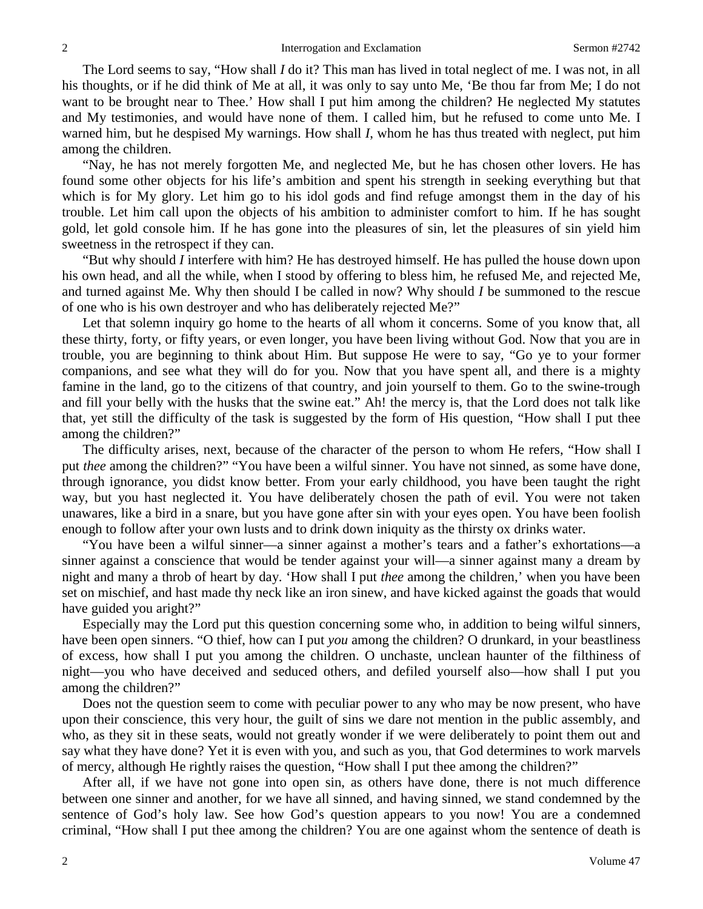The Lord seems to say, "How shall *I* do it? This man has lived in total neglect of me. I was not, in all his thoughts, or if he did think of Me at all, it was only to say unto Me, 'Be thou far from Me; I do not want to be brought near to Thee.' How shall I put him among the children? He neglected My statutes and My testimonies, and would have none of them. I called him, but he refused to come unto Me. I warned him, but he despised My warnings. How shall *I*, whom he has thus treated with neglect, put him among the children.

"Nay, he has not merely forgotten Me, and neglected Me, but he has chosen other lovers. He has found some other objects for his life's ambition and spent his strength in seeking everything but that which is for My glory. Let him go to his idol gods and find refuge amongst them in the day of his trouble. Let him call upon the objects of his ambition to administer comfort to him. If he has sought gold, let gold console him. If he has gone into the pleasures of sin, let the pleasures of sin yield him sweetness in the retrospect if they can.

"But why should *I* interfere with him? He has destroyed himself. He has pulled the house down upon his own head, and all the while, when I stood by offering to bless him, he refused Me, and rejected Me, and turned against Me. Why then should I be called in now? Why should *I* be summoned to the rescue of one who is his own destroyer and who has deliberately rejected Me?"

Let that solemn inquiry go home to the hearts of all whom it concerns. Some of you know that, all these thirty, forty, or fifty years, or even longer, you have been living without God. Now that you are in trouble, you are beginning to think about Him. But suppose He were to say, "Go ye to your former companions, and see what they will do for you. Now that you have spent all, and there is a mighty famine in the land, go to the citizens of that country, and join yourself to them. Go to the swine-trough and fill your belly with the husks that the swine eat." Ah! the mercy is, that the Lord does not talk like that, yet still the difficulty of the task is suggested by the form of His question, "How shall I put thee among the children?"

The difficulty arises, next, because of the character of the person to whom He refers, "How shall I put *thee* among the children?" "You have been a wilful sinner. You have not sinned, as some have done, through ignorance, you didst know better. From your early childhood, you have been taught the right way, but you hast neglected it. You have deliberately chosen the path of evil. You were not taken unawares, like a bird in a snare, but you have gone after sin with your eyes open. You have been foolish enough to follow after your own lusts and to drink down iniquity as the thirsty ox drinks water.

"You have been a wilful sinner—a sinner against a mother's tears and a father's exhortations—a sinner against a conscience that would be tender against your will—a sinner against many a dream by night and many a throb of heart by day. 'How shall I put *thee* among the children,' when you have been set on mischief, and hast made thy neck like an iron sinew, and have kicked against the goads that would have guided you aright?"

Especially may the Lord put this question concerning some who, in addition to being wilful sinners, have been open sinners. "O thief, how can I put *you* among the children? O drunkard, in your beastliness of excess, how shall I put you among the children. O unchaste, unclean haunter of the filthiness of night—you who have deceived and seduced others, and defiled yourself also—how shall I put you among the children?"

Does not the question seem to come with peculiar power to any who may be now present, who have upon their conscience, this very hour, the guilt of sins we dare not mention in the public assembly, and who, as they sit in these seats, would not greatly wonder if we were deliberately to point them out and say what they have done? Yet it is even with you, and such as you, that God determines to work marvels of mercy, although He rightly raises the question, "How shall I put thee among the children?"

After all, if we have not gone into open sin, as others have done, there is not much difference between one sinner and another, for we have all sinned, and having sinned, we stand condemned by the sentence of God's holy law. See how God's question appears to you now! You are a condemned criminal, "How shall I put thee among the children? You are one against whom the sentence of death is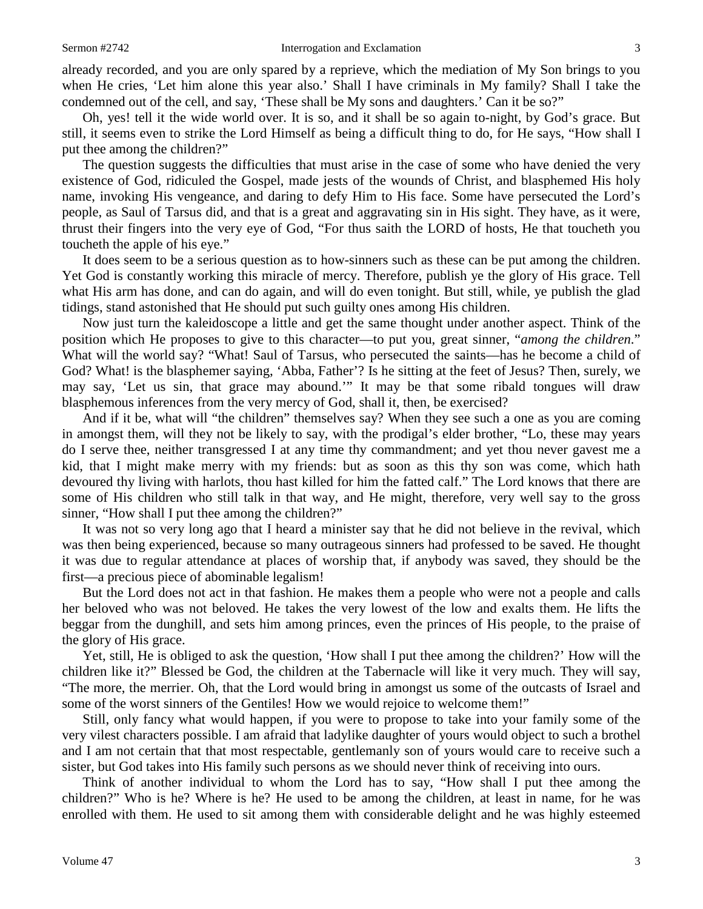already recorded, and you are only spared by a reprieve, which the mediation of My Son brings to you when He cries, 'Let him alone this year also.' Shall I have criminals in My family? Shall I take the condemned out of the cell, and say, 'These shall be My sons and daughters.' Can it be so?"

Oh, yes! tell it the wide world over. It is so, and it shall be so again to-night, by God's grace. But still, it seems even to strike the Lord Himself as being a difficult thing to do, for He says, "How shall I put thee among the children?"

The question suggests the difficulties that must arise in the case of some who have denied the very existence of God, ridiculed the Gospel, made jests of the wounds of Christ, and blasphemed His holy name, invoking His vengeance, and daring to defy Him to His face. Some have persecuted the Lord's people, as Saul of Tarsus did, and that is a great and aggravating sin in His sight. They have, as it were, thrust their fingers into the very eye of God, "For thus saith the LORD of hosts, He that toucheth you toucheth the apple of his eye."

It does seem to be a serious question as to how-sinners such as these can be put among the children. Yet God is constantly working this miracle of mercy. Therefore, publish ye the glory of His grace. Tell what His arm has done, and can do again, and will do even tonight. But still, while, ye publish the glad tidings, stand astonished that He should put such guilty ones among His children.

Now just turn the kaleidoscope a little and get the same thought under another aspect. Think of the position which He proposes to give to this character—to put you, great sinner, "*among the children*." What will the world say? "What! Saul of Tarsus, who persecuted the saints—has he become a child of God? What! is the blasphemer saying, 'Abba, Father'? Is he sitting at the feet of Jesus? Then, surely, we may say, 'Let us sin, that grace may abound.'" It may be that some ribald tongues will draw blasphemous inferences from the very mercy of God, shall it, then, be exercised?

And if it be, what will "the children" themselves say? When they see such a one as you are coming in amongst them, will they not be likely to say, with the prodigal's elder brother, "Lo, these may years do I serve thee, neither transgressed I at any time thy commandment; and yet thou never gavest me a kid, that I might make merry with my friends: but as soon as this thy son was come, which hath devoured thy living with harlots, thou hast killed for him the fatted calf." The Lord knows that there are some of His children who still talk in that way, and He might, therefore, very well say to the gross sinner, "How shall I put thee among the children?"

It was not so very long ago that I heard a minister say that he did not believe in the revival, which was then being experienced, because so many outrageous sinners had professed to be saved. He thought it was due to regular attendance at places of worship that, if anybody was saved, they should be the first—a precious piece of abominable legalism!

But the Lord does not act in that fashion. He makes them a people who were not a people and calls her beloved who was not beloved. He takes the very lowest of the low and exalts them. He lifts the beggar from the dunghill, and sets him among princes, even the princes of His people, to the praise of the glory of His grace.

Yet, still, He is obliged to ask the question, 'How shall I put thee among the children?' How will the children like it?" Blessed be God, the children at the Tabernacle will like it very much. They will say, "The more, the merrier. Oh, that the Lord would bring in amongst us some of the outcasts of Israel and some of the worst sinners of the Gentiles! How we would rejoice to welcome them!"

Still, only fancy what would happen, if you were to propose to take into your family some of the very vilest characters possible. I am afraid that ladylike daughter of yours would object to such a brothel and I am not certain that that most respectable, gentlemanly son of yours would care to receive such a sister, but God takes into His family such persons as we should never think of receiving into ours.

Think of another individual to whom the Lord has to say, "How shall I put thee among the children?" Who is he? Where is he? He used to be among the children, at least in name, for he was enrolled with them. He used to sit among them with considerable delight and he was highly esteemed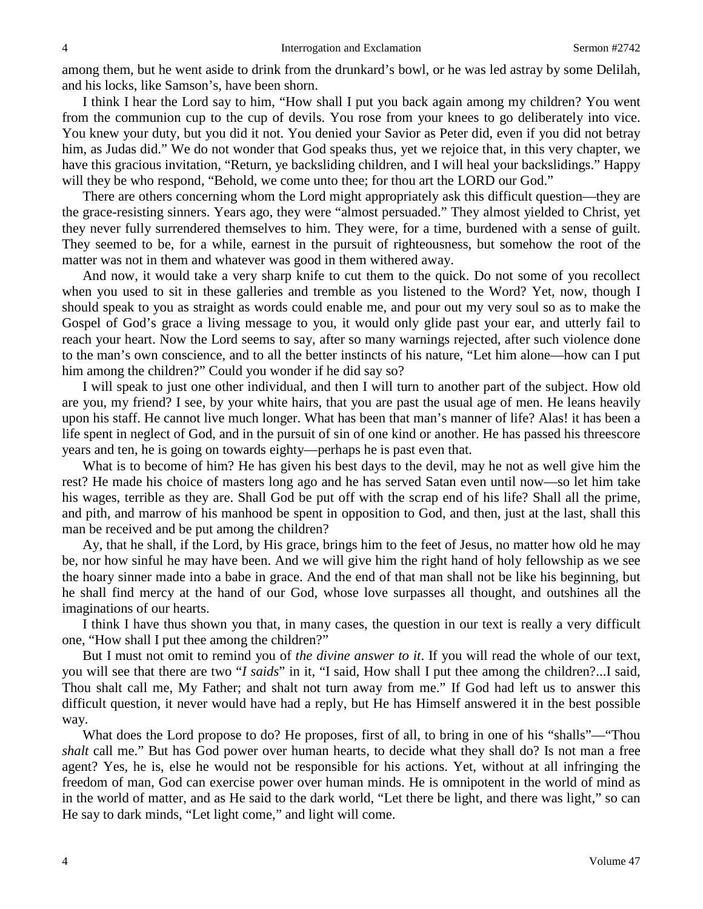among them, but he went aside to drink from the drunkard's bowl, or he was led astray by some Delilah, and his locks, like Samson's, have been shorn.

I think I hear the Lord say to him, "How shall I put you back again among my children? You went from the communion cup to the cup of devils. You rose from your knees to go deliberately into vice. You knew your duty, but you did it not. You denied your Savior as Peter did, even if you did not betray him, as Judas did." We do not wonder that God speaks thus, yet we rejoice that, in this very chapter, we have this gracious invitation, "Return, ye backsliding children, and I will heal your backslidings." Happy will they be who respond, "Behold, we come unto thee; for thou art the LORD our God."

There are others concerning whom the Lord might appropriately ask this difficult question—they are the grace-resisting sinners. Years ago, they were "almost persuaded." They almost yielded to Christ, yet they never fully surrendered themselves to him. They were, for a time, burdened with a sense of guilt. They seemed to be, for a while, earnest in the pursuit of righteousness, but somehow the root of the matter was not in them and whatever was good in them withered away.

And now, it would take a very sharp knife to cut them to the quick. Do not some of you recollect when you used to sit in these galleries and tremble as you listened to the Word? Yet, now, though I should speak to you as straight as words could enable me, and pour out my very soul so as to make the Gospel of God's grace a living message to you, it would only glide past your ear, and utterly fail to reach your heart. Now the Lord seems to say, after so many warnings rejected, after such violence done to the man's own conscience, and to all the better instincts of his nature, "Let him alone—how can I put him among the children?" Could you wonder if he did say so?

I will speak to just one other individual, and then I will turn to another part of the subject. How old are you, my friend? I see, by your white hairs, that you are past the usual age of men. He leans heavily upon his staff. He cannot live much longer. What has been that man's manner of life? Alas! it has been a life spent in neglect of God, and in the pursuit of sin of one kind or another. He has passed his threescore years and ten, he is going on towards eighty—perhaps he is past even that.

What is to become of him? He has given his best days to the devil, may he not as well give him the rest? He made his choice of masters long ago and he has served Satan even until now—so let him take his wages, terrible as they are. Shall God be put off with the scrap end of his life? Shall all the prime, and pith, and marrow of his manhood be spent in opposition to God, and then, just at the last, shall this man be received and be put among the children?

Ay, that he shall, if the Lord, by His grace, brings him to the feet of Jesus, no matter how old he may be, nor how sinful he may have been. And we will give him the right hand of holy fellowship as we see the hoary sinner made into a babe in grace. And the end of that man shall not be like his beginning, but he shall find mercy at the hand of our God, whose love surpasses all thought, and outshines all the imaginations of our hearts.

I think I have thus shown you that, in many cases, the question in our text is really a very difficult one, "How shall I put thee among the children?"

But I must not omit to remind you of *the divine answer to it*. If you will read the whole of our text, you will see that there are two "*I saids*" in it, "I said, How shall I put thee among the children?...I said, Thou shalt call me, My Father; and shalt not turn away from me." If God had left us to answer this difficult question, it never would have had a reply, but He has Himself answered it in the best possible way.

What does the Lord propose to do? He proposes, first of all, to bring in one of his "shalls"—"Thou *shalt* call me." But has God power over human hearts, to decide what they shall do? Is not man a free agent? Yes, he is, else he would not be responsible for his actions. Yet, without at all infringing the freedom of man, God can exercise power over human minds. He is omnipotent in the world of mind as in the world of matter, and as He said to the dark world, "Let there be light, and there was light," so can He say to dark minds, "Let light come," and light will come.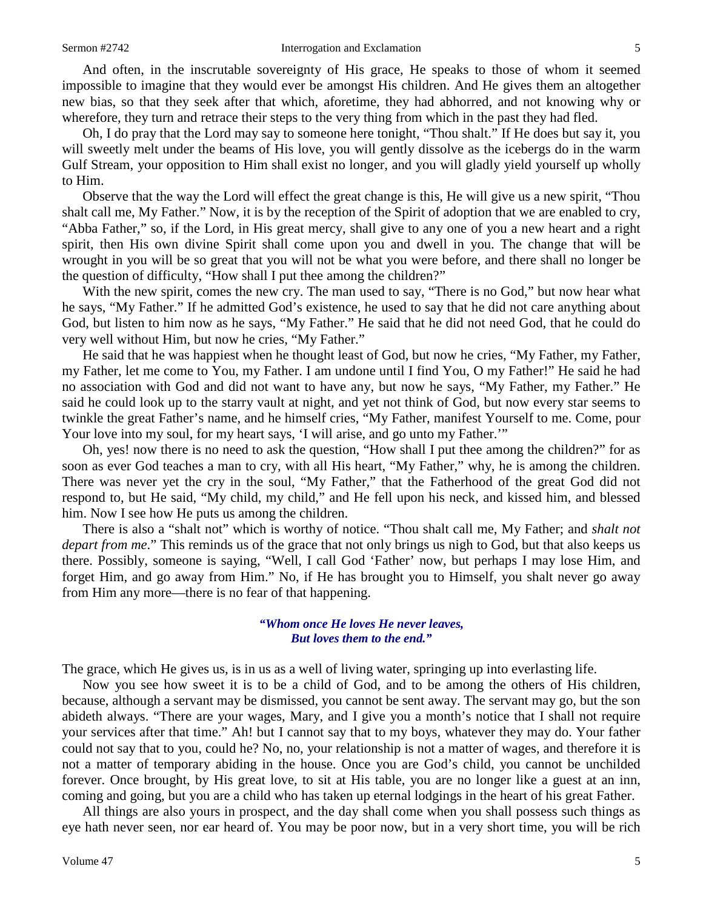And often, in the inscrutable sovereignty of His grace, He speaks to those of whom it seemed impossible to imagine that they would ever be amongst His children. And He gives them an altogether new bias, so that they seek after that which, aforetime, they had abhorred, and not knowing why or wherefore, they turn and retrace their steps to the very thing from which in the past they had fled.

Oh, I do pray that the Lord may say to someone here tonight, "Thou shalt." If He does but say it, you will sweetly melt under the beams of His love, you will gently dissolve as the icebergs do in the warm Gulf Stream, your opposition to Him shall exist no longer, and you will gladly yield yourself up wholly to Him.

Observe that the way the Lord will effect the great change is this, He will give us a new spirit, "Thou shalt call me, My Father." Now, it is by the reception of the Spirit of adoption that we are enabled to cry, "Abba Father," so, if the Lord, in His great mercy, shall give to any one of you a new heart and a right spirit, then His own divine Spirit shall come upon you and dwell in you. The change that will be wrought in you will be so great that you will not be what you were before, and there shall no longer be the question of difficulty, "How shall I put thee among the children?"

With the new spirit, comes the new cry. The man used to say, "There is no God," but now hear what he says, "My Father." If he admitted God's existence, he used to say that he did not care anything about God, but listen to him now as he says, "My Father." He said that he did not need God, that he could do very well without Him, but now he cries, "My Father."

He said that he was happiest when he thought least of God, but now he cries, "My Father, my Father, my Father, let me come to You, my Father. I am undone until I find You, O my Father!" He said he had no association with God and did not want to have any, but now he says, "My Father, my Father." He said he could look up to the starry vault at night, and yet not think of God, but now every star seems to twinkle the great Father's name, and he himself cries, "My Father, manifest Yourself to me. Come, pour Your love into my soul, for my heart says, 'I will arise, and go unto my Father.'"

Oh, yes! now there is no need to ask the question, "How shall I put thee among the children?" for as soon as ever God teaches a man to cry, with all His heart, "My Father," why, he is among the children. There was never yet the cry in the soul, "My Father," that the Fatherhood of the great God did not respond to, but He said, "My child, my child," and He fell upon his neck, and kissed him, and blessed him. Now I see how He puts us among the children.

There is also a "shalt not" which is worthy of notice. "Thou shalt call me, My Father; and *shalt not depart from me*." This reminds us of the grace that not only brings us nigh to God, but that also keeps us there. Possibly, someone is saying, "Well, I call God 'Father' now, but perhaps I may lose Him, and forget Him, and go away from Him." No, if He has brought you to Himself, you shalt never go away from Him any more—there is no fear of that happening.

## *"Whom once He loves He never leaves, But loves them to the end."*

The grace, which He gives us, is in us as a well of living water, springing up into everlasting life.

Now you see how sweet it is to be a child of God, and to be among the others of His children, because, although a servant may be dismissed, you cannot be sent away. The servant may go, but the son abideth always. "There are your wages, Mary, and I give you a month's notice that I shall not require your services after that time." Ah! but I cannot say that to my boys, whatever they may do. Your father could not say that to you, could he? No, no, your relationship is not a matter of wages, and therefore it is not a matter of temporary abiding in the house. Once you are God's child, you cannot be unchilded forever. Once brought, by His great love, to sit at His table, you are no longer like a guest at an inn, coming and going, but you are a child who has taken up eternal lodgings in the heart of his great Father.

All things are also yours in prospect, and the day shall come when you shall possess such things as eye hath never seen, nor ear heard of. You may be poor now, but in a very short time, you will be rich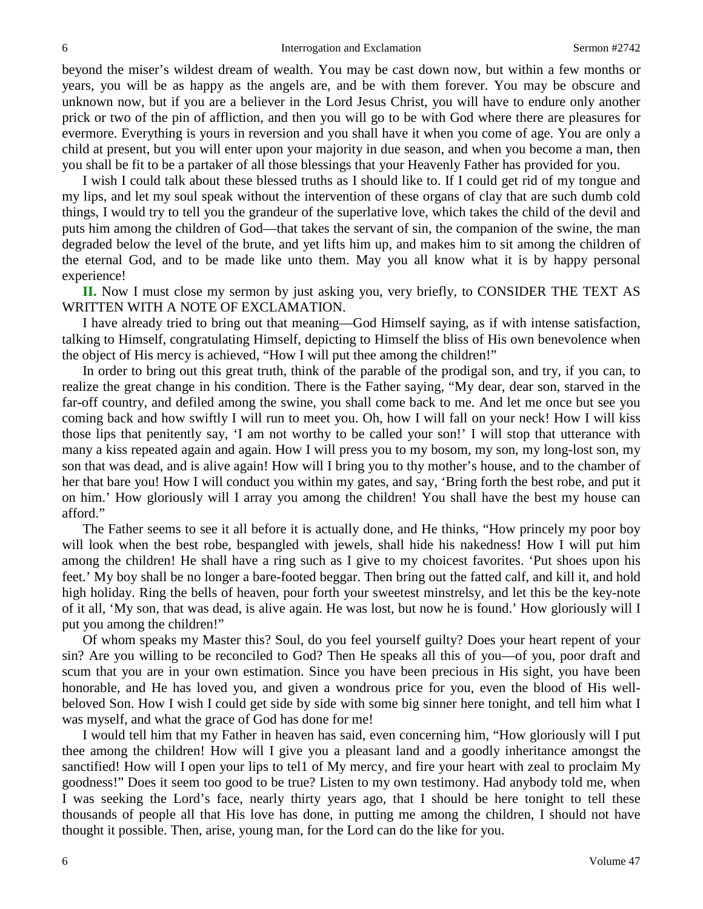beyond the miser's wildest dream of wealth. You may be cast down now, but within a few months or years, you will be as happy as the angels are, and be with them forever. You may be obscure and unknown now, but if you are a believer in the Lord Jesus Christ, you will have to endure only another prick or two of the pin of affliction, and then you will go to be with God where there are pleasures for evermore. Everything is yours in reversion and you shall have it when you come of age. You are only a child at present, but you will enter upon your majority in due season, and when you become a man, then you shall be fit to be a partaker of all those blessings that your Heavenly Father has provided for you.

I wish I could talk about these blessed truths as I should like to. If I could get rid of my tongue and my lips, and let my soul speak without the intervention of these organs of clay that are such dumb cold things, I would try to tell you the grandeur of the superlative love, which takes the child of the devil and puts him among the children of God—that takes the servant of sin, the companion of the swine, the man degraded below the level of the brute, and yet lifts him up, and makes him to sit among the children of the eternal God, and to be made like unto them. May you all know what it is by happy personal experience!

**II.** Now I must close my sermon by just asking you, very briefly, to CONSIDER THE TEXT AS WRITTEN WITH A NOTE OF EXCLAMATION.

I have already tried to bring out that meaning—God Himself saying, as if with intense satisfaction, talking to Himself, congratulating Himself, depicting to Himself the bliss of His own benevolence when the object of His mercy is achieved, "How I will put thee among the children!"

In order to bring out this great truth, think of the parable of the prodigal son, and try, if you can, to realize the great change in his condition. There is the Father saying, "My dear, dear son, starved in the far-off country, and defiled among the swine, you shall come back to me. And let me once but see you coming back and how swiftly I will run to meet you. Oh, how I will fall on your neck! How I will kiss those lips that penitently say, 'I am not worthy to be called your son!' I will stop that utterance with many a kiss repeated again and again. How I will press you to my bosom, my son, my long-lost son, my son that was dead, and is alive again! How will I bring you to thy mother's house, and to the chamber of her that bare you! How I will conduct you within my gates, and say, 'Bring forth the best robe, and put it on him.' How gloriously will I array you among the children! You shall have the best my house can afford."

The Father seems to see it all before it is actually done, and He thinks, "How princely my poor boy will look when the best robe, bespangled with jewels, shall hide his nakedness! How I will put him among the children! He shall have a ring such as I give to my choicest favorites. 'Put shoes upon his feet.' My boy shall be no longer a bare-footed beggar. Then bring out the fatted calf, and kill it, and hold high holiday. Ring the bells of heaven, pour forth your sweetest minstrelsy, and let this be the key-note of it all, 'My son, that was dead, is alive again. He was lost, but now he is found.' How gloriously will I put you among the children!"

Of whom speaks my Master this? Soul, do you feel yourself guilty? Does your heart repent of your sin? Are you willing to be reconciled to God? Then He speaks all this of you—of you, poor draft and scum that you are in your own estimation. Since you have been precious in His sight, you have been honorable, and He has loved you, and given a wondrous price for you, even the blood of His wellbeloved Son. How I wish I could get side by side with some big sinner here tonight, and tell him what I was myself, and what the grace of God has done for me!

I would tell him that my Father in heaven has said, even concerning him, "How gloriously will I put thee among the children! How will I give you a pleasant land and a goodly inheritance amongst the sanctified! How will I open your lips to tel1 of My mercy, and fire your heart with zeal to proclaim My goodness!" Does it seem too good to be true? Listen to my own testimony. Had anybody told me, when I was seeking the Lord's face, nearly thirty years ago, that I should be here tonight to tell these thousands of people all that His love has done, in putting me among the children, I should not have thought it possible. Then, arise, young man, for the Lord can do the like for you.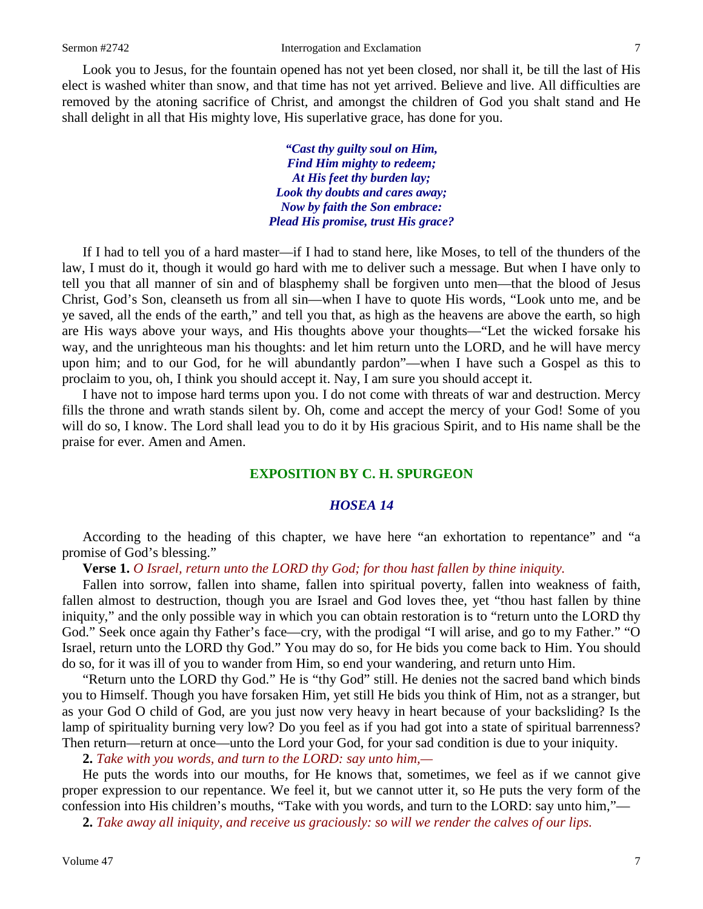Look you to Jesus, for the fountain opened has not yet been closed, nor shall it, be till the last of His elect is washed whiter than snow, and that time has not yet arrived. Believe and live. All difficulties are removed by the atoning sacrifice of Christ, and amongst the children of God you shalt stand and He shall delight in all that His mighty love, His superlative grace, has done for you.

> *"Cast thy guilty soul on Him, Find Him mighty to redeem; At His feet thy burden lay; Look thy doubts and cares away; Now by faith the Son embrace: Plead His promise, trust His grace?*

If I had to tell you of a hard master—if I had to stand here, like Moses, to tell of the thunders of the law, I must do it, though it would go hard with me to deliver such a message. But when I have only to tell you that all manner of sin and of blasphemy shall be forgiven unto men—that the blood of Jesus Christ, God's Son, cleanseth us from all sin—when I have to quote His words, "Look unto me, and be ye saved, all the ends of the earth," and tell you that, as high as the heavens are above the earth, so high are His ways above your ways, and His thoughts above your thoughts—"Let the wicked forsake his way, and the unrighteous man his thoughts: and let him return unto the LORD, and he will have mercy upon him; and to our God, for he will abundantly pardon"—when I have such a Gospel as this to proclaim to you, oh, I think you should accept it. Nay, I am sure you should accept it.

I have not to impose hard terms upon you. I do not come with threats of war and destruction. Mercy fills the throne and wrath stands silent by. Oh, come and accept the mercy of your God! Some of you will do so, I know. The Lord shall lead you to do it by His gracious Spirit, and to His name shall be the praise for ever. Amen and Amen.

## **EXPOSITION BY C. H. SPURGEON**

### *HOSEA 14*

According to the heading of this chapter, we have here "an exhortation to repentance" and "a promise of God's blessing."

**Verse 1.** *O Israel, return unto the LORD thy God; for thou hast fallen by thine iniquity.*

Fallen into sorrow, fallen into shame, fallen into spiritual poverty, fallen into weakness of faith, fallen almost to destruction, though you are Israel and God loves thee, yet "thou hast fallen by thine iniquity," and the only possible way in which you can obtain restoration is to "return unto the LORD thy God." Seek once again thy Father's face—cry, with the prodigal "I will arise, and go to my Father." "O Israel, return unto the LORD thy God." You may do so, for He bids you come back to Him. You should do so, for it was ill of you to wander from Him, so end your wandering, and return unto Him.

"Return unto the LORD thy God." He is "thy God" still. He denies not the sacred band which binds you to Himself. Though you have forsaken Him, yet still He bids you think of Him, not as a stranger, but as your God O child of God, are you just now very heavy in heart because of your backsliding? Is the lamp of spirituality burning very low? Do you feel as if you had got into a state of spiritual barrenness? Then return—return at once—unto the Lord your God, for your sad condition is due to your iniquity.

**2.** *Take with you words, and turn to the LORD: say unto him,—*

He puts the words into our mouths, for He knows that, sometimes, we feel as if we cannot give proper expression to our repentance. We feel it, but we cannot utter it, so He puts the very form of the confession into His children's mouths, "Take with you words, and turn to the LORD: say unto him,"—

**2.** *Take away all iniquity, and receive us graciously: so will we render the calves of our lips.*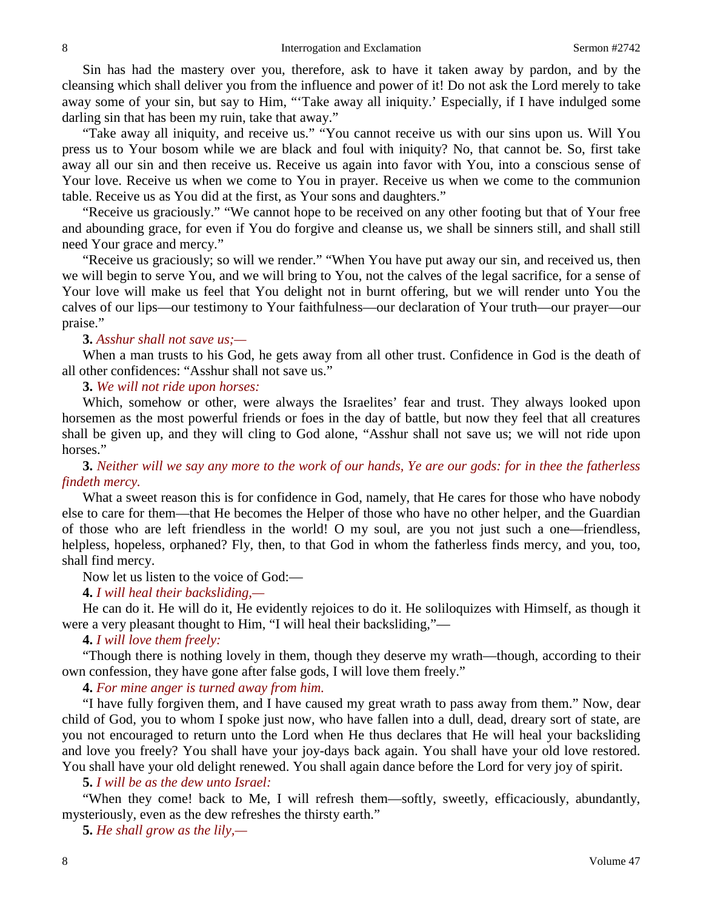Sin has had the mastery over you, therefore, ask to have it taken away by pardon, and by the cleansing which shall deliver you from the influence and power of it! Do not ask the Lord merely to take away some of your sin, but say to Him, "'Take away all iniquity.' Especially, if I have indulged some darling sin that has been my ruin, take that away."

"Take away all iniquity, and receive us." "You cannot receive us with our sins upon us. Will You press us to Your bosom while we are black and foul with iniquity? No, that cannot be. So, first take away all our sin and then receive us. Receive us again into favor with You, into a conscious sense of Your love. Receive us when we come to You in prayer. Receive us when we come to the communion table. Receive us as You did at the first, as Your sons and daughters."

"Receive us graciously." "We cannot hope to be received on any other footing but that of Your free and abounding grace, for even if You do forgive and cleanse us, we shall be sinners still, and shall still need Your grace and mercy."

"Receive us graciously; so will we render." "When You have put away our sin, and received us, then we will begin to serve You, and we will bring to You, not the calves of the legal sacrifice, for a sense of Your love will make us feel that You delight not in burnt offering, but we will render unto You the calves of our lips—our testimony to Your faithfulness—our declaration of Your truth—our prayer—our praise."

#### **3.** *Asshur shall not save us;—*

When a man trusts to his God, he gets away from all other trust. Confidence in God is the death of all other confidences: "Asshur shall not save us."

#### **3.** *We will not ride upon horses:*

Which, somehow or other, were always the Israelites' fear and trust. They always looked upon horsemen as the most powerful friends or foes in the day of battle, but now they feel that all creatures shall be given up, and they will cling to God alone, "Asshur shall not save us; we will not ride upon horses."

**3.** *Neither will we say any more to the work of our hands, Ye are our gods: for in thee the fatherless findeth mercy.*

What a sweet reason this is for confidence in God, namely, that He cares for those who have nobody else to care for them—that He becomes the Helper of those who have no other helper, and the Guardian of those who are left friendless in the world! O my soul, are you not just such a one—friendless, helpless, hopeless, orphaned? Fly, then, to that God in whom the fatherless finds mercy, and you, too, shall find mercy.

Now let us listen to the voice of God:—

**4.** *I will heal their backsliding,—*

He can do it. He will do it, He evidently rejoices to do it. He soliloquizes with Himself, as though it were a very pleasant thought to Him, "I will heal their backsliding,"—

## **4.** *I will love them freely:*

"Though there is nothing lovely in them, though they deserve my wrath—though, according to their own confession, they have gone after false gods, I will love them freely."

## **4.** *For mine anger is turned away from him.*

"I have fully forgiven them, and I have caused my great wrath to pass away from them." Now, dear child of God, you to whom I spoke just now, who have fallen into a dull, dead, dreary sort of state, are you not encouraged to return unto the Lord when He thus declares that He will heal your backsliding and love you freely? You shall have your joy-days back again. You shall have your old love restored. You shall have your old delight renewed. You shall again dance before the Lord for very joy of spirit.

#### **5.** *I will be as the dew unto Israel:*

"When they come! back to Me, I will refresh them—softly, sweetly, efficaciously, abundantly, mysteriously, even as the dew refreshes the thirsty earth."

**5.** *He shall grow as the lily,—*